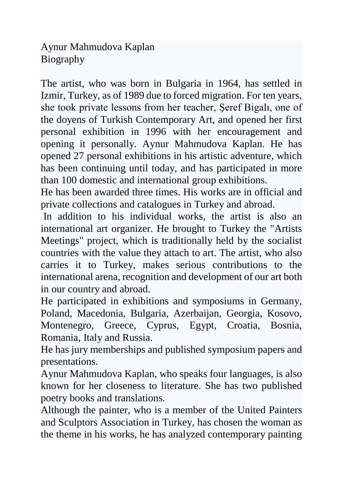Aynur Mahmudova Kaplan Biography

The artist, who was born in Bulgaria in 1964, has settled in Izmir, Turkey, as of 1989 due to forced migration. For ten years, she took private lessons from her teacher, Şeref Bigalı, one of the doyens of Turkish Contemporary Art, and opened her first personal exhibition in 1996 with her encouragement and opening it personally. Aynur Mahmudova Kaplan. He has opened 27 personal exhibitions in his artistic adventure, which has been continuing until today, and has participated in more than 100 domestic and international group exhibitions.

He has been awarded three times. His works are in official and private collections and catalogues in Turkey and abroad.

In addition to his individual works, the artist is also an international art organizer. He brought to Turkey the "Artists Meetings" project, which is traditionally held by the socialist countries with the value they attach to art. The artist, who also carries it to Turkey, makes serious contributions to the international arena, recognition and development of our art both in our country and abroad.

He participated in exhibitions and symposiums in Germany, Poland, Macedonia, Bulgaria, Azerbaijan, Georgia, Kosovo, Montenegro, Greece, Cyprus, Egypt, Croatia, Bosnia, Romania, Italy and Russia.

He has jury memberships and published symposium papers and presentations.

Aynur Mahmudova Kaplan, who speaks four languages, is also known for her closeness to literature. She has two published poetry books and translations.

Although the painter, who is a member of the United Painters and Sculptors Association in Turkey, has chosen the woman as the theme in his works, he has analyzed contemporary painting